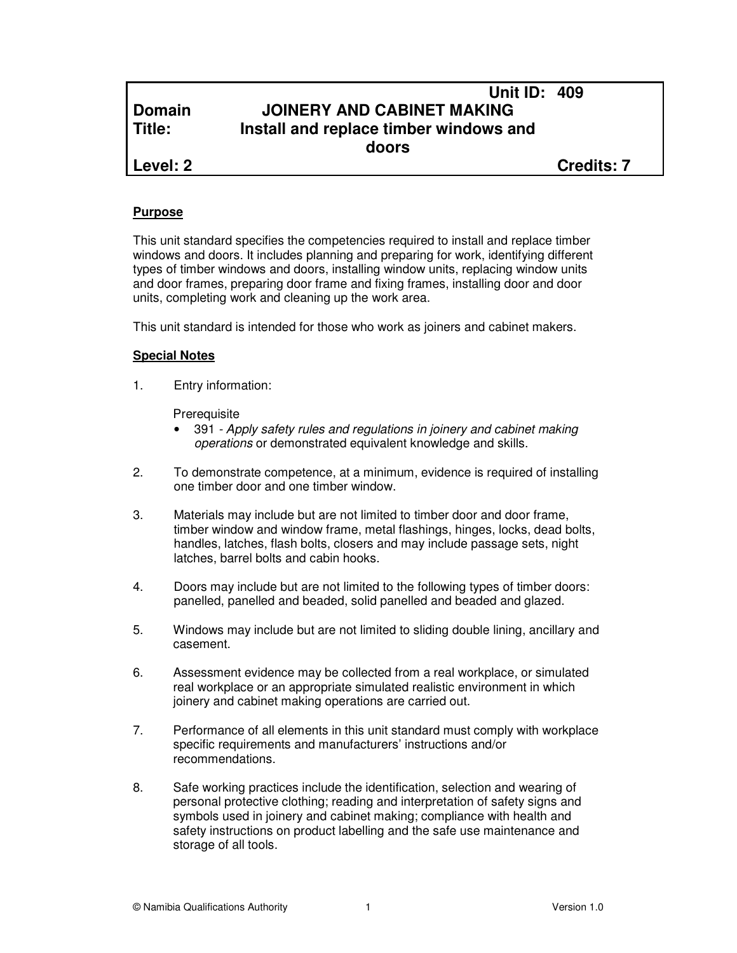# **Unit ID: 409 Domain JOINERY AND CABINET MAKING Title: Install and replace timber windows and doors**

**Level: 2 Credits: 7**

#### **Purpose**

This unit standard specifies the competencies required to install and replace timber windows and doors. It includes planning and preparing for work, identifying different types of timber windows and doors, installing window units, replacing window units and door frames, preparing door frame and fixing frames, installing door and door units, completing work and cleaning up the work area.

This unit standard is intended for those who work as joiners and cabinet makers.

#### **Special Notes**

1. Entry information:

**Prerequisite** 

- 391 Apply safety rules and regulations in joinery and cabinet making operations or demonstrated equivalent knowledge and skills.
- 2. To demonstrate competence, at a minimum, evidence is required of installing one timber door and one timber window.
- 3. Materials may include but are not limited to timber door and door frame, timber window and window frame, metal flashings, hinges, locks, dead bolts, handles, latches, flash bolts, closers and may include passage sets, night latches, barrel bolts and cabin hooks.
- 4. Doors may include but are not limited to the following types of timber doors: panelled, panelled and beaded, solid panelled and beaded and glazed.
- 5. Windows may include but are not limited to sliding double lining, ancillary and casement.
- 6. Assessment evidence may be collected from a real workplace, or simulated real workplace or an appropriate simulated realistic environment in which joinery and cabinet making operations are carried out.
- 7. Performance of all elements in this unit standard must comply with workplace specific requirements and manufacturers' instructions and/or recommendations.
- 8. Safe working practices include the identification, selection and wearing of personal protective clothing; reading and interpretation of safety signs and symbols used in joinery and cabinet making; compliance with health and safety instructions on product labelling and the safe use maintenance and storage of all tools.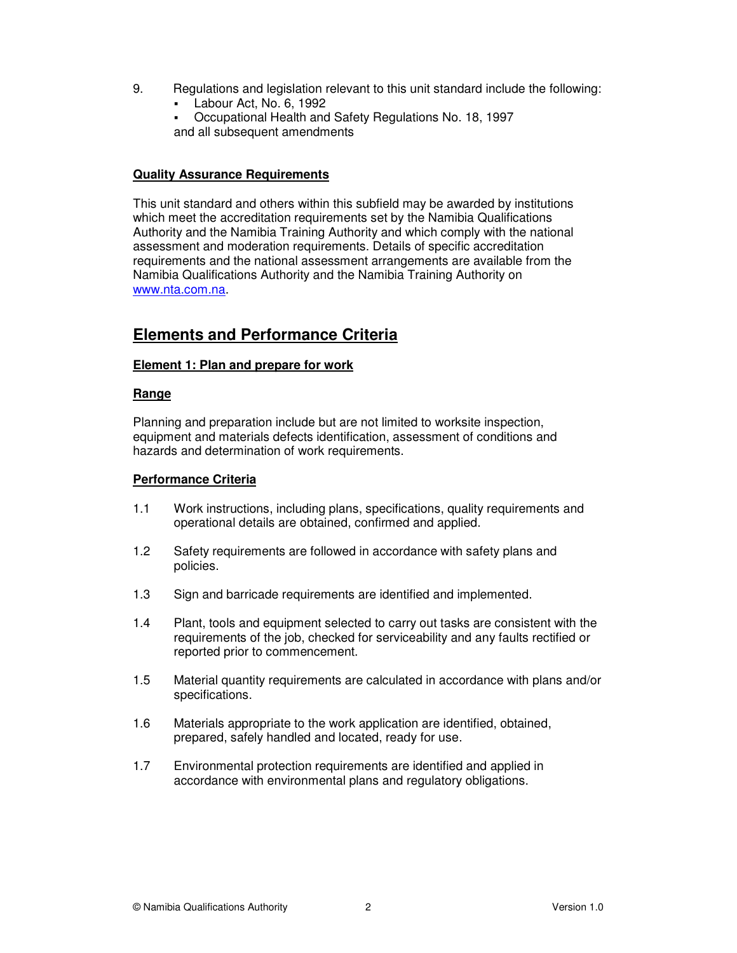- 9. Regulations and legislation relevant to this unit standard include the following:
	- Labour Act, No. 6, 1992
	- Occupational Health and Safety Regulations No. 18, 1997 and all subsequent amendments

#### **Quality Assurance Requirements**

This unit standard and others within this subfield may be awarded by institutions which meet the accreditation requirements set by the Namibia Qualifications Authority and the Namibia Training Authority and which comply with the national assessment and moderation requirements. Details of specific accreditation requirements and the national assessment arrangements are available from the Namibia Qualifications Authority and the Namibia Training Authority on www.nta.com.na.

# **Elements and Performance Criteria**

# **Element 1: Plan and prepare for work**

#### **Range**

Planning and preparation include but are not limited to worksite inspection, equipment and materials defects identification, assessment of conditions and hazards and determination of work requirements.

#### **Performance Criteria**

- 1.1 Work instructions, including plans, specifications, quality requirements and operational details are obtained, confirmed and applied.
- 1.2 Safety requirements are followed in accordance with safety plans and policies.
- 1.3 Sign and barricade requirements are identified and implemented.
- 1.4 Plant, tools and equipment selected to carry out tasks are consistent with the requirements of the job, checked for serviceability and any faults rectified or reported prior to commencement.
- 1.5 Material quantity requirements are calculated in accordance with plans and/or specifications.
- 1.6 Materials appropriate to the work application are identified, obtained, prepared, safely handled and located, ready for use.
- 1.7 Environmental protection requirements are identified and applied in accordance with environmental plans and regulatory obligations.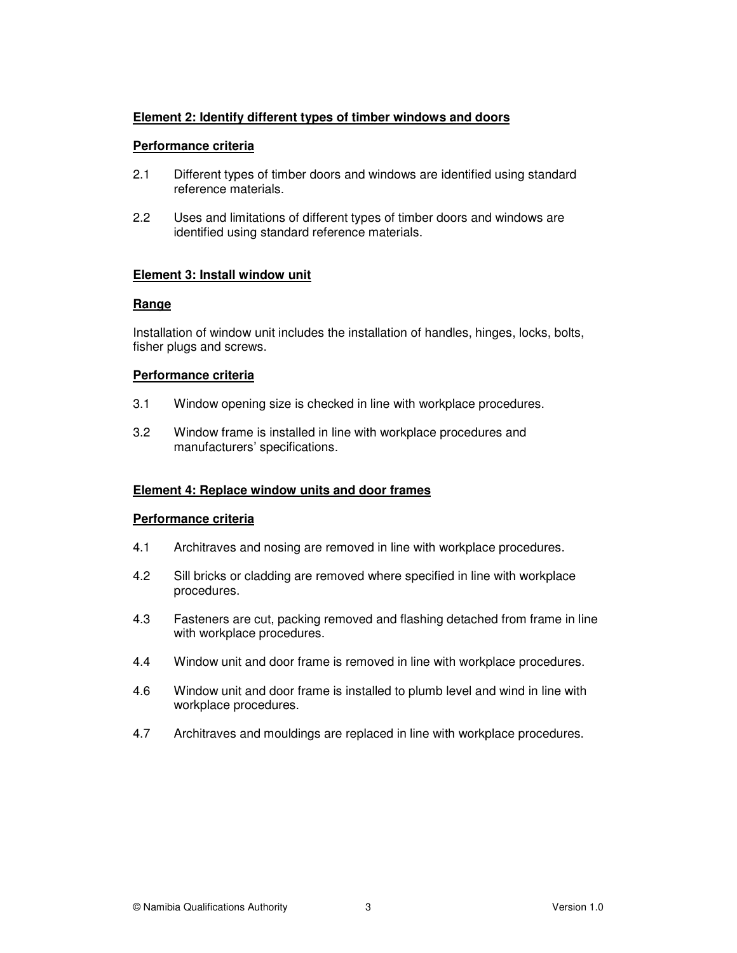# **Element 2: Identify different types of timber windows and doors**

# **Performance criteria**

- 2.1 Different types of timber doors and windows are identified using standard reference materials.
- 2.2 Uses and limitations of different types of timber doors and windows are identified using standard reference materials.

# **Element 3: Install window unit**

# **Range**

Installation of window unit includes the installation of handles, hinges, locks, bolts, fisher plugs and screws.

# **Performance criteria**

- 3.1 Window opening size is checked in line with workplace procedures.
- 3.2 Window frame is installed in line with workplace procedures and manufacturers' specifications.

# **Element 4: Replace window units and door frames**

# **Performance criteria**

- 4.1 Architraves and nosing are removed in line with workplace procedures.
- 4.2 Sill bricks or cladding are removed where specified in line with workplace procedures.
- 4.3 Fasteners are cut, packing removed and flashing detached from frame in line with workplace procedures.
- 4.4 Window unit and door frame is removed in line with workplace procedures.
- 4.6 Window unit and door frame is installed to plumb level and wind in line with workplace procedures.
- 4.7 Architraves and mouldings are replaced in line with workplace procedures.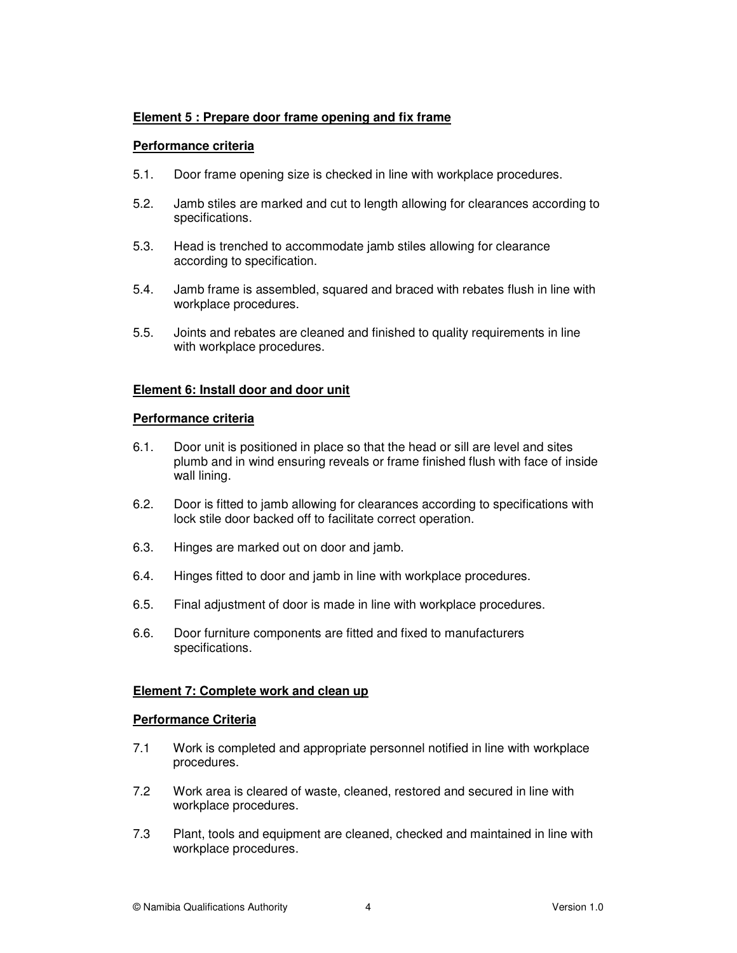# **Element 5 : Prepare door frame opening and fix frame**

#### **Performance criteria**

- 5.1. Door frame opening size is checked in line with workplace procedures.
- 5.2. Jamb stiles are marked and cut to length allowing for clearances according to specifications.
- 5.3. Head is trenched to accommodate jamb stiles allowing for clearance according to specification.
- 5.4. Jamb frame is assembled, squared and braced with rebates flush in line with workplace procedures.
- 5.5. Joints and rebates are cleaned and finished to quality requirements in line with workplace procedures.

#### **Element 6: Install door and door unit**

#### **Performance criteria**

- 6.1. Door unit is positioned in place so that the head or sill are level and sites plumb and in wind ensuring reveals or frame finished flush with face of inside wall lining.
- 6.2. Door is fitted to jamb allowing for clearances according to specifications with lock stile door backed off to facilitate correct operation.
- 6.3. Hinges are marked out on door and jamb.
- 6.4. Hinges fitted to door and jamb in line with workplace procedures.
- 6.5. Final adjustment of door is made in line with workplace procedures.
- 6.6. Door furniture components are fitted and fixed to manufacturers specifications.

# **Element 7: Complete work and clean up**

#### **Performance Criteria**

- 7.1 Work is completed and appropriate personnel notified in line with workplace procedures.
- 7.2 Work area is cleared of waste, cleaned, restored and secured in line with workplace procedures.
- 7.3 Plant, tools and equipment are cleaned, checked and maintained in line with workplace procedures.